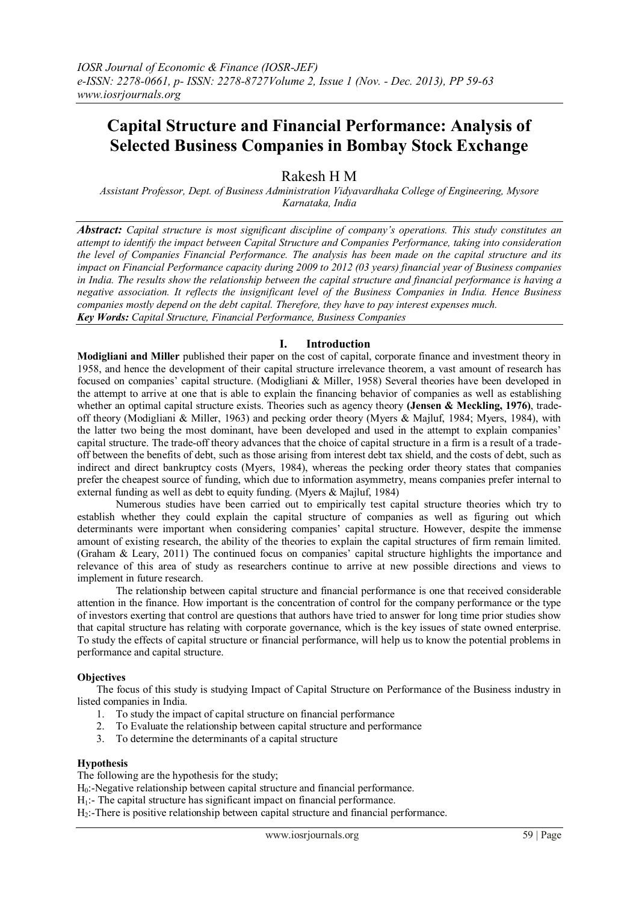# **Capital Structure and Financial Performance: Analysis of Selected Business Companies in Bombay Stock Exchange**

Rakesh H M

*Assistant Professor, Dept. of Business Administration Vidyavardhaka College of Engineering, Mysore Karnataka, India*

*Abstract: Capital structure is most significant discipline of company's operations. This study constitutes an attempt to identify the impact between Capital Structure and Companies Performance, taking into consideration the level of Companies Financial Performance. The analysis has been made on the capital structure and its impact on Financial Performance capacity during 2009 to 2012 (03 years) financial year of Business companies in India. The results show the relationship between the capital structure and financial performance is having a negative association. It reflects the insignificant level of the Business Companies in India. Hence Business companies mostly depend on the debt capital. Therefore, they have to pay interest expenses much. Key Words: Capital Structure, Financial Performance, Business Companies*

# **I. Introduction**

**Modigliani and Miller** published their paper on the cost of capital, corporate finance and investment theory in 1958, and hence the development of their capital structure irrelevance theorem, a vast amount of research has focused on companies' capital structure. (Modigliani & Miller, 1958) Several theories have been developed in the attempt to arrive at one that is able to explain the financing behavior of companies as well as establishing whether an optimal capital structure exists. Theories such as agency theory **(Jensen & Meckling, 1976)**, tradeoff theory (Modigliani & Miller, 1963) and pecking order theory (Myers & Majluf, 1984; Myers, 1984), with the latter two being the most dominant, have been developed and used in the attempt to explain companies' capital structure. The trade-off theory advances that the choice of capital structure in a firm is a result of a tradeoff between the benefits of debt, such as those arising from interest debt tax shield, and the costs of debt, such as indirect and direct bankruptcy costs (Myers, 1984), whereas the pecking order theory states that companies prefer the cheapest source of funding, which due to information asymmetry, means companies prefer internal to external funding as well as debt to equity funding. (Myers & Majluf, 1984)

Numerous studies have been carried out to empirically test capital structure theories which try to establish whether they could explain the capital structure of companies as well as figuring out which determinants were important when considering companies' capital structure. However, despite the immense amount of existing research, the ability of the theories to explain the capital structures of firm remain limited. (Graham & Leary, 2011) The continued focus on companies' capital structure highlights the importance and relevance of this area of study as researchers continue to arrive at new possible directions and views to implement in future research.

The relationship between capital structure and financial performance is one that received considerable attention in the finance. How important is the concentration of control for the company performance or the type of investors exerting that control are questions that authors have tried to answer for long time prior studies show that capital structure has relating with corporate governance, which is the key issues of state owned enterprise. To study the effects of capital structure or financial performance, will help us to know the potential problems in performance and capital structure.

# **Objectives**

The focus of this study is studying Impact of Capital Structure on Performance of the Business industry in listed companies in India.

- 1. To study the impact of capital structure on financial performance
- 2. To Evaluate the relationship between capital structure and performance
- 3. To determine the determinants of a capital structure

## **Hypothesis**

The following are the hypothesis for the study;

H<sub>0</sub>:-Negative relationship between capital structure and financial performance.

 $H<sub>1</sub>$ : The capital structure has significant impact on financial performance.

H<sub>2</sub>:-There is positive relationship between capital structure and financial performance.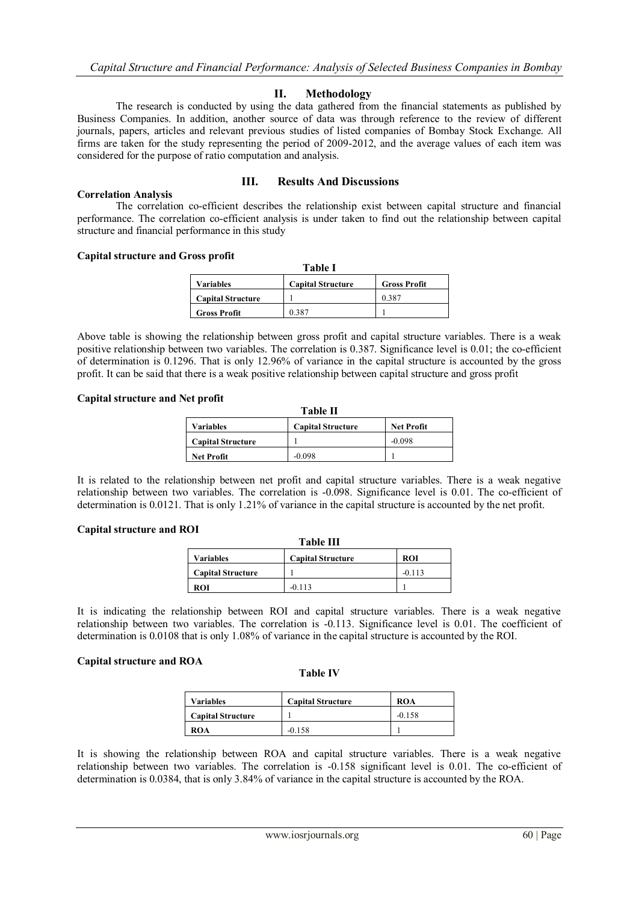## **II. Methodology**

The research is conducted by using the data gathered from the financial statements as published by Business Companies. In addition, another source of data was through reference to the review of different journals, papers, articles and relevant previous studies of listed companies of Bombay Stock Exchange. All firms are taken for the study representing the period of 2009-2012, and the average values of each item was considered for the purpose of ratio computation and analysis.

## **Correlation Analysis**

# **III. Results And Discussions**

The correlation co-efficient describes the relationship exist between capital structure and financial performance. The correlation co-efficient analysis is under taken to find out the relationship between capital structure and financial performance in this study

## **Capital structure and Gross profit**

| Table I                                                      |       |       |  |  |  |  |
|--------------------------------------------------------------|-------|-------|--|--|--|--|
| <b>Capital Structure</b><br><b>Gross Profit</b><br>Variables |       |       |  |  |  |  |
| <b>Capital Structure</b>                                     |       | 0.387 |  |  |  |  |
| <b>Gross Profit</b>                                          | 0.387 |       |  |  |  |  |

Above table is showing the relationship between gross profit and capital structure variables. There is a weak positive relationship between two variables. The correlation is 0.387. Significance level is 0.01; the co-efficient of determination is 0.1296. That is only 12.96% of variance in the capital structure is accounted by the gross profit. It can be said that there is a weak positive relationship between capital structure and gross profit

#### **Capital structure and Net profit**

| <b>Table II</b>          |                          |                   |  |  |
|--------------------------|--------------------------|-------------------|--|--|
| Variables                | <b>Capital Structure</b> | <b>Net Profit</b> |  |  |
| <b>Capital Structure</b> |                          | $-0.098$          |  |  |
| <b>Net Profit</b>        | -0.098                   |                   |  |  |

It is related to the relationship between net profit and capital structure variables. There is a weak negative relationship between two variables. The correlation is -0.098. Significance level is 0.01. The co-efficient of determination is 0.0121. That is only 1.21% of variance in the capital structure is accounted by the net profit.

## **Capital structure and ROI**

| <b>Table III</b>                                           |          |          |  |  |  |
|------------------------------------------------------------|----------|----------|--|--|--|
| <b>ROI</b><br><b>Capital Structure</b><br><b>Variables</b> |          |          |  |  |  |
| <b>Capital Structure</b>                                   |          | $-0.113$ |  |  |  |
| ROI                                                        | $-0.113$ |          |  |  |  |

It is indicating the relationship between ROI and capital structure variables. There is a weak negative relationship between two variables. The correlation is -0.113. Significance level is 0.01. The coefficient of determination is 0.0108 that is only 1.08% of variance in the capital structure is accounted by the ROI.

## **Capital structure and ROA**

#### **Table IV**

| <b>Variables</b>         | <b>Capital Structure</b> | ROA      |
|--------------------------|--------------------------|----------|
| <b>Capital Structure</b> |                          | $-0.158$ |
| ROA                      | $-0.158$                 |          |

It is showing the relationship between ROA and capital structure variables. There is a weak negative relationship between two variables. The correlation is -0.158 significant level is 0.01. The co-efficient of determination is 0.0384, that is only 3.84% of variance in the capital structure is accounted by the ROA.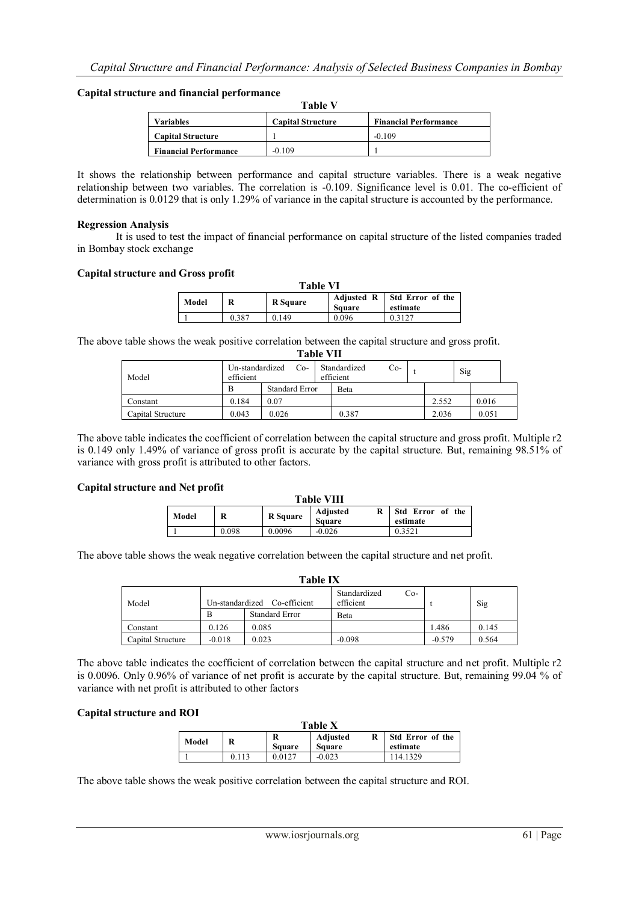## **Capital structure and financial performance**

|                              | <b>Table V</b>           |                              |
|------------------------------|--------------------------|------------------------------|
| <b>Variables</b>             | <b>Capital Structure</b> | <b>Financial Performance</b> |
| <b>Capital Structure</b>     |                          | $-0.109$                     |
| <b>Financial Performance</b> | $-0.109$                 |                              |

It shows the relationship between performance and capital structure variables. There is a weak negative relationship between two variables. The correlation is -0.109. Significance level is 0.01. The co-efficient of determination is 0.0129 that is only 1.29% of variance in the capital structure is accounted by the performance.

## **Regression Analysis**

It is used to test the impact of financial performance on capital structure of the listed companies traded in Bombay stock exchange

## **Capital structure and Gross profit**

| <b>Table VI</b> |       |                 |                                    |                              |
|-----------------|-------|-----------------|------------------------------------|------------------------------|
| Model           | R     | <b>R</b> Square | <b>Adjusted R</b><br><b>Square</b> | Std Error of the<br>estimate |
|                 | 0.387 | 0.149           | 0.096                              | 0.3127                       |

The above table shows the weak positive correlation between the capital structure and gross profit. **Table VII**

|                   |                              | ганс уп               |                           |     |       |     |       |  |
|-------------------|------------------------------|-----------------------|---------------------------|-----|-------|-----|-------|--|
| Model             | Un-standardized<br>efficient | $Co-$                 | Standardized<br>efficient | Co- |       | Sig |       |  |
|                   |                              | <b>Standard Error</b> | Beta                      |     |       |     |       |  |
| Constant          | 0.184                        | 0.07                  |                           |     | 2.552 |     | 0.016 |  |
| Capital Structure | 0.043                        | 0.026                 | 0.387                     |     | 2.036 |     | 0.051 |  |

The above table indicates the coefficient of correlation between the capital structure and gross profit. Multiple r2 is 0.149 only 1.49% of variance of gross profit is accurate by the capital structure. But, remaining 98.51% of variance with gross profit is attributed to other factors.

## **Capital structure and Net profit**

| <b>Table VIII</b> |       |                 |                                |                              |  |
|-------------------|-------|-----------------|--------------------------------|------------------------------|--|
| Model             | R     | <b>R</b> Square | Adjusted<br>R<br><b>Square</b> | Std Error of the<br>estimate |  |
|                   | 0.098 | 0.0096          | $-0.026$                       | 0.3521                       |  |

The above table shows the weak negative correlation between the capital structure and net profit.

| <b>Table IX</b>   |          |                                                       |                                            |          |       |
|-------------------|----------|-------------------------------------------------------|--------------------------------------------|----------|-------|
| Model             | B        | Un-standardized Co-efficient<br><b>Standard Error</b> | Standardized<br>$Co-$<br>efficient<br>Beta |          | Sig   |
|                   |          |                                                       |                                            |          |       |
| Constant          | 0.126    | 0.085                                                 |                                            | 1.486    | 0.145 |
| Capital Structure | $-0.018$ | 0.023                                                 | $-0.098$                                   | $-0.579$ | 0.564 |

The above table indicates the coefficient of correlation between the capital structure and net profit. Multiple r2 is 0.0096. Only 0.96% of variance of net profit is accurate by the capital structure. But, remaining 99.04 % of variance with net profit is attributed to other factors

# **Capital structure and ROI**

| <b>Table X</b> |       |                    |                                |                                     |  |
|----------------|-------|--------------------|--------------------------------|-------------------------------------|--|
| Model          | R     | R<br><b>Square</b> | Adjusted<br>R<br><b>Square</b> | <b>Std Error of the</b><br>estimate |  |
|                | 0.113 | 0.0127             | $-0.023$                       | 14.1329                             |  |

The above table shows the weak positive correlation between the capital structure and ROI.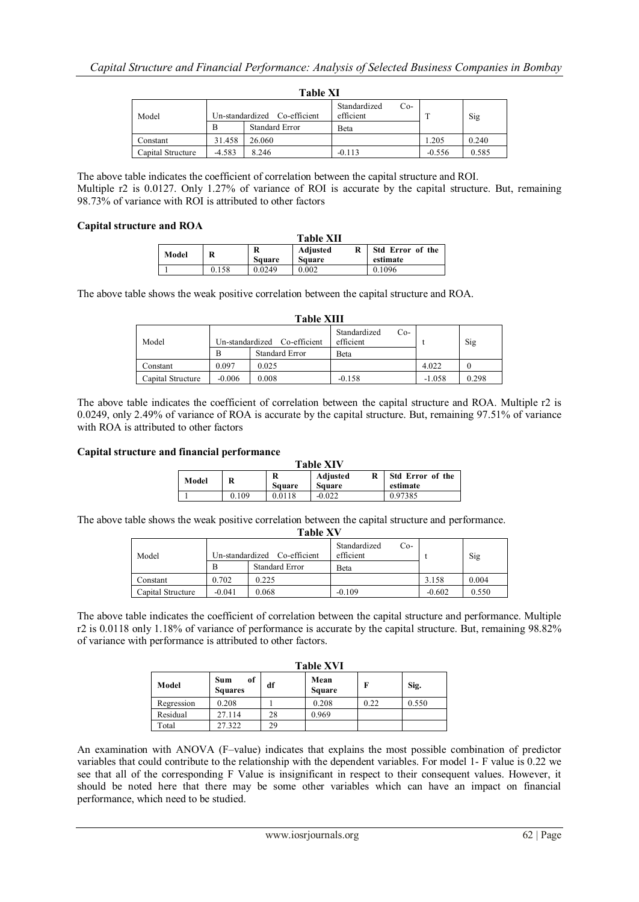| <b>Table XI</b>   |          |                              |                                    |          |       |
|-------------------|----------|------------------------------|------------------------------------|----------|-------|
| Model             |          | Un-standardized Co-efficient | Standardized<br>$Co-$<br>efficient |          | Sig   |
|                   | B        | <b>Standard Error</b>        | <b>B</b> eta                       |          |       |
| Constant          | 31.458   | 26.060                       |                                    | 1.205    | 0.240 |
| Capital Structure | $-4.583$ | 8.246                        | $-0.113$                           | $-0.556$ | 0.585 |

The above table indicates the coefficient of correlation between the capital structure and ROI. Multiple r2 is 0.0127. Only 1.27% of variance of ROI is accurate by the capital structure. But, remaining 98.73% of variance with ROI is attributed to other factors

# **Capital structure and ROA**

|       |       |               | <b>Table XII</b>          |                              |
|-------|-------|---------------|---------------------------|------------------------------|
| Model | R     | <b>Square</b> | Adjusted<br><b>Square</b> | Std Error of the<br>estimate |
|       | 0.158 | 0.0249        | 0.002                     | 0.1096                       |

The above table shows the weak positive correlation between the capital structure and ROA.

| Table XIII        |                              |                       |                                    |          |       |
|-------------------|------------------------------|-----------------------|------------------------------------|----------|-------|
| Model             | Un-standardized Co-efficient |                       | Standardized<br>$Co-$<br>efficient |          | Sig   |
|                   | B                            | <b>Standard Error</b> | Beta                               |          |       |
| Constant          | 0.097                        | 0.025                 |                                    | 4.022    |       |
| Capital Structure | $-0.006$                     | 0.008                 | $-0.158$                           | $-1.058$ | 0.298 |

**Table XIIII** 

The above table indicates the coefficient of correlation between the capital structure and ROA. Multiple r2 is 0.0249, only 2.49% of variance of ROA is accurate by the capital structure. But, remaining 97.51% of variance with ROA is attributed to other factors

## **Capital structure and financial performance**

| <b>Table XIV</b> |       |                    |                           |                              |  |
|------------------|-------|--------------------|---------------------------|------------------------------|--|
| Model            | R     | R<br><b>Square</b> | Adjusted<br><b>Square</b> | Std Error of the<br>estimate |  |
|                  | 0.109 | 0.0118             | $-0.022$                  | 0.97385                      |  |

The above table shows the weak positive correlation between the capital structure and performance. **Table XV**

| TADIE A V         |                                 |                       |                                    |          |       |
|-------------------|---------------------------------|-----------------------|------------------------------------|----------|-------|
| Model             | Co-efficient<br>Un-standardized |                       | Standardized<br>$Co-$<br>efficient |          | Sig   |
|                   | B                               | <b>Standard Error</b> | Beta                               |          |       |
| Constant          | 0.702                           | 0.225                 |                                    | 3.158    | 0.004 |
| Capital Structure | $-0.041$                        | 0.068                 | $-0.109$                           | $-0.602$ | 0.550 |

The above table indicates the coefficient of correlation between the capital structure and performance. Multiple r2 is 0.0118 only 1.18% of variance of performance is accurate by the capital structure. But, remaining 98.82% of variance with performance is attributed to other factors.

|            | <b>Table XVI</b>            |    |                       |      |       |
|------------|-----------------------------|----|-----------------------|------|-------|
| Model      | of<br>Sum<br><b>Squares</b> | df | Mean<br><b>Square</b> | F    | Sig.  |
| Regression | 0.208                       |    | 0.208                 | 0.22 | 0.550 |
| Residual   | 27.114                      | 28 | 0.969                 |      |       |
| Total      | 27.322                      | 29 |                       |      |       |

An examination with ANOVA (F–value) indicates that explains the most possible combination of predictor variables that could contribute to the relationship with the dependent variables. For model 1- F value is 0.22 we see that all of the corresponding F Value is insignificant in respect to their consequent values. However, it should be noted here that there may be some other variables which can have an impact on financial performance, which need to be studied.